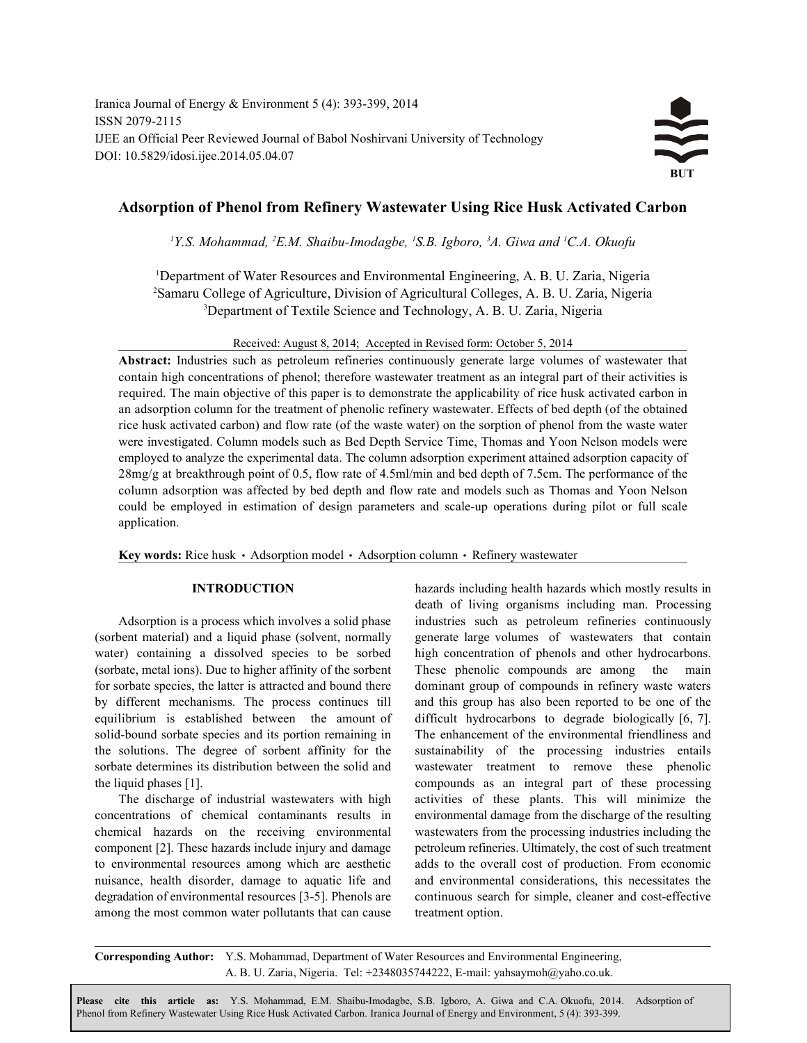Iranica Journal of Energy & Environment 5 (4): 393-399, 2014 ISSN 2079-2115 IJEE an Official Peer Reviewed Journal of Babol Noshirvani University of Technology DOI: 10.5829/idosi.ijee.2014.05.04.07



# **Adsorption of Phenol from Refinery Wastewater Using Rice Husk Activated Carbon**

<sup>1</sup>Y.S. Mohammad, <sup>2</sup>E.M. Shaibu-Imodagbe, <sup>1</sup>S.B. Igboro, <sup>3</sup>A. Giwa and <sup>1</sup>C.A. Okuofu

<sup>1</sup>Department of Water Resources and Environmental Engineering, A. B. U. Zaria, Nigeria <sup>2</sup> Samaru College of Agriculture, Division of Agricultural Colleges, A. B. U. Zaria, Nigeria <sup>3</sup>Department of Textile Science and Technology, A. B. U. Zaria, Nigeria

Received: August 8, 2014; Accepted in Revised form: October 5, 2014

**Abstract:** Industries such as petroleum refineries continuously generate large volumes of wastewater that contain high concentrations of phenol; therefore wastewater treatment as an integral part of their activities is required. The main objective of this paper is to demonstrate the applicability of rice husk activated carbon in an adsorption column for the treatment of phenolic refinery wastewater. Effects of bed depth (of the obtained rice husk activated carbon) and flow rate (of the waste water) on the sorption of phenol from the waste water were investigated. Column models such as Bed Depth Service Time, Thomas and Yoon Nelson models were employed to analyze the experimental data. The column adsorption experiment attained adsorption capacity of 28mg/g at breakthrough point of 0.5, flow rate of 4.5ml/min and bed depth of 7.5cm. The performance of the column adsorption was affected by bed depth and flow rate and models such as Thomas and Yoon Nelson could be employed in estimation of design parameters and scale-up operations during pilot or full scale application.

**Key words:** Rice husk • Adsorption model • Adsorption column • Refinery wastewater

(sorbent material) and a liquid phase (solvent, normally generate large volumes of wastewaters that contain water) containing a dissolved species to be sorbed high concentration of phenols and other hydrocarbons. (sorbate, metal ions). Due to higher affinity of the sorbent These phenolic compounds are among the main for sorbate species, the latter is attracted and bound there dominant group of compounds in refinery waste waters by different mechanisms. The process continues till and this group has also been reported to be one of the equilibrium is established between the amount of difficult hydrocarbons to degrade biologically [6, 7]. solid-bound sorbate species and its portion remaining in The enhancement of the environmental friendliness and the solutions. The degree of sorbent affinity for the sustainability of the processing industries entails sorbate determines its distribution between the solid and wastewater treatment to remove these phenolic the liquid phases [1]. compounds as an integral part of these processing

concentrations of chemical contaminants results in environmental damage from the discharge of the resulting chemical hazards on the receiving environmental wastewaters from the processing industries including the component [2]. These hazards include injury and damage petroleum refineries. Ultimately, the cost of such treatment to environmental resources among which are aesthetic adds to the overall cost of production. From economic nuisance, health disorder, damage to aquatic life and and environmental considerations, this necessitates the degradation of environmental resources [3-5]. Phenols are continuous search for simple, cleaner and cost-effective among the most common water pollutants that can cause treatment option.

**INTRODUCTION** hazards including health hazards which mostly results in Adsorption is a process which involves a solid phase industries such as petroleum refineries continuously The discharge of industrial wastewaters with high activities of these plants. This will minimize the death of living organisms including man. Processing

**Corresponding Author:** Y.S. Mohammad, Department of Water Resources and Environmental Engineering, A. B. U. Zaria, Nigeria. Tel: +2348035744222, E-mail: yahsaymoh@yaho.co.uk.

 Phenol from Refinery Wastewater Using Rice Husk Activated Carbon. Iranica Journal of Energy and Environment, 5 (4): 393-399.**Please cite this article as:** Y.S. Mohammad, E.M. Shaibu-Imodagbe, S.B. Igboro, A. Giwa and C.A. Okuofu, 2014. Adsorption of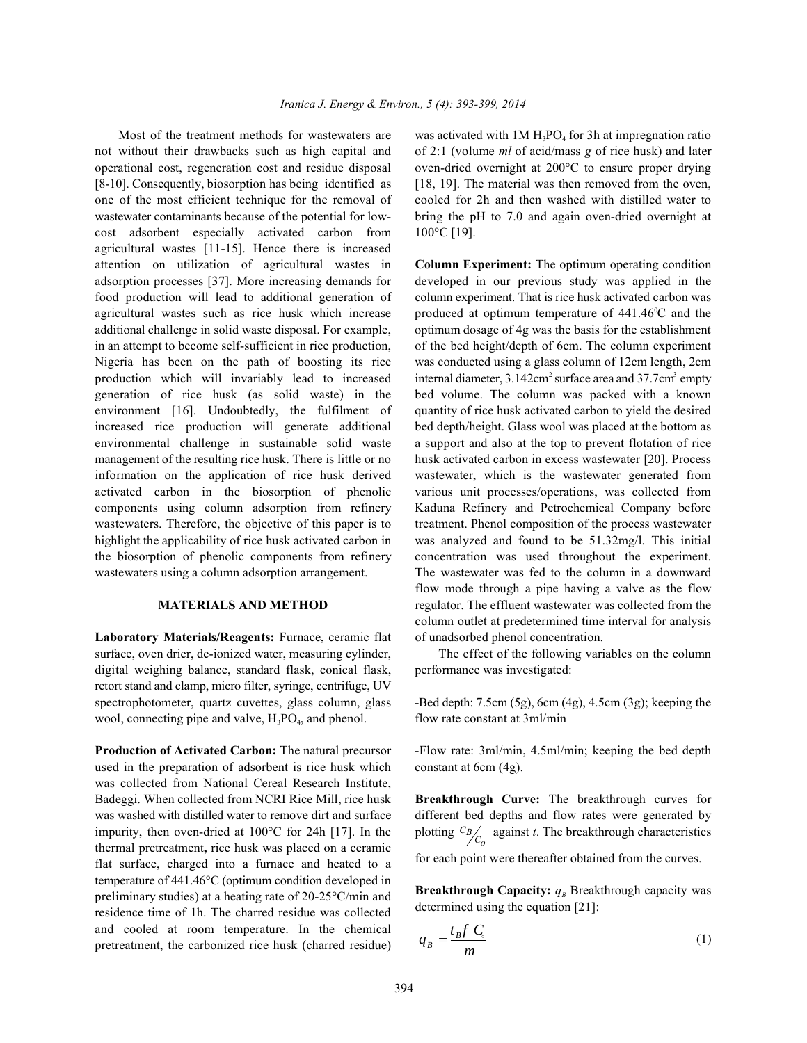not without their drawbacks such as high capital and of 2:1 (volume *ml* of acid/mass *g* of rice husk) and later operational cost, regeneration cost and residue disposal oven-dried overnight at 200°C to ensure proper drying [8-10]. Consequently, biosorption has being identified as [18, 19]. The material was then removed from the oven, one of the most efficient technique for the removal of cooled for 2h and then washed with distilled water to wastewater contaminants because of the potential for low-<br>bring the pH to 7.0 and again oven-dried overnight at cost adsorbent especially activated carbon from 100°C [19]. agricultural wastes [11-15]. Hence there is increased attention on utilization of agricultural wastes in **Column Experiment:** The optimum operating condition adsorption processes [37]. More increasing demands for developed in our previous study was applied in the food production will lead to additional generation of column experiment. That is rice husk activated carbon was agricultural wastes such as rice husk which increase produced at optimum temperature of 441.46 °C and the additional challenge in solid waste disposal. For example, optimum dosage of 4g was the basis for the establishment in an attempt to become self-sufficient in rice production, of the bed height/depth of 6cm. The column experiment Nigeria has been on the path of boosting its rice was conducted using a glass column of 12cm length, 2cm production which will invariably lead to increased internal diameter,  $3.142 \text{cm}^2$  surface area and  $37.7 \text{cm}^3$  empty generation of rice husk (as solid waste) in the bed volume. The column was packed with a known environment [16]. Undoubtedly, the fulfilment of quantity of rice husk activated carbon to yield the desired increased rice production will generate additional bed depth/height. Glass wool was placed at the bottom as environmental challenge in sustainable solid waste a support and also at the top to prevent flotation of rice management of the resulting rice husk. There is little or no husk activated carbon in excess wastewater [20]. Process information on the application of rice husk derived wastewater, which is the wastewater generated from activated carbon in the biosorption of phenolic various unit processes/operations, was collected from components using column adsorption from refinery Kaduna Refinery and Petrochemical Company before wastewaters. Therefore, the objective of this paper is to treatment. Phenol composition of the process wastewater highlight the applicability of rice husk activated carbon in was analyzed and found to be 51.32mg/l. This initial the biosorption of phenolic components from refinery concentration was used throughout the experiment. wastewaters using a column adsorption arrangement. The wastewater was fed to the column in a downward

**Laboratory Materials/Reagents:** Furnace, ceramic flat of unadsorbed phenol concentration. surface, oven drier, de-ionized water, measuring cylinder, The effect of the following variables on the column digital weighing balance, standard flask, conical flask, performance was investigated: retort stand and clamp, micro filter, syringe, centrifuge, UV spectrophotometer, quartz cuvettes, glass column, glass -Bed depth: 7.5cm (5g), 6cm (4g), 4.5cm (3g); keeping the wool, connecting pipe and valve,  $H_3PO_4$ , and phenol. flow rate constant at 3ml/min

used in the preparation of adsorbent is rice husk which constant at 6cm (4g). was collected from National Cereal Research Institute, Badeggi. When collected from NCRI Rice Mill, rice husk **Breakthrough Curve:** The breakthrough curves for was washed with distilled water to remove dirt and surface different bed depths and flow rates were generated by impurity, then oven-dried at 100°C for 24h [17]. In the thermal pretreatment**,** rice husk was placed on a ceramic flat surface, charged into a furnace and heated to a temperature of 441.46°C (optimum condition developed in preliminary studies) at a heating rate of 20-25°C/min and residence time of 1h. The charred residue was collected and cooled at room temperature. In the chemical pretreatment, the carbonized rice husk (charred residue)

Most of the treatment methods for wastewaters are was activated with  $1M H_3PO_4$  for 3h at impregnation ratio

**MATERIALS AND METHOD** regulator. The effluent wastewater was collected from the flow mode through a pipe having a valve as the flow column outlet at predetermined time interval for analysis

**Production of Activated Carbon:** The natural precursor -Flow rate: 3ml/min, 4.5ml/min; keeping the bed depth

plotting  ${}^{C_B}$  *C<sub>0</sub>* against *t*. The breakthrough characteristics for each point were thereafter obtained from the curves.

**Breakthrough Capacity:**  $q_B$  Breakthrough capacity was determined using the equation [21]:

$$
q_B = \frac{t_B f C_s}{m} \tag{1}
$$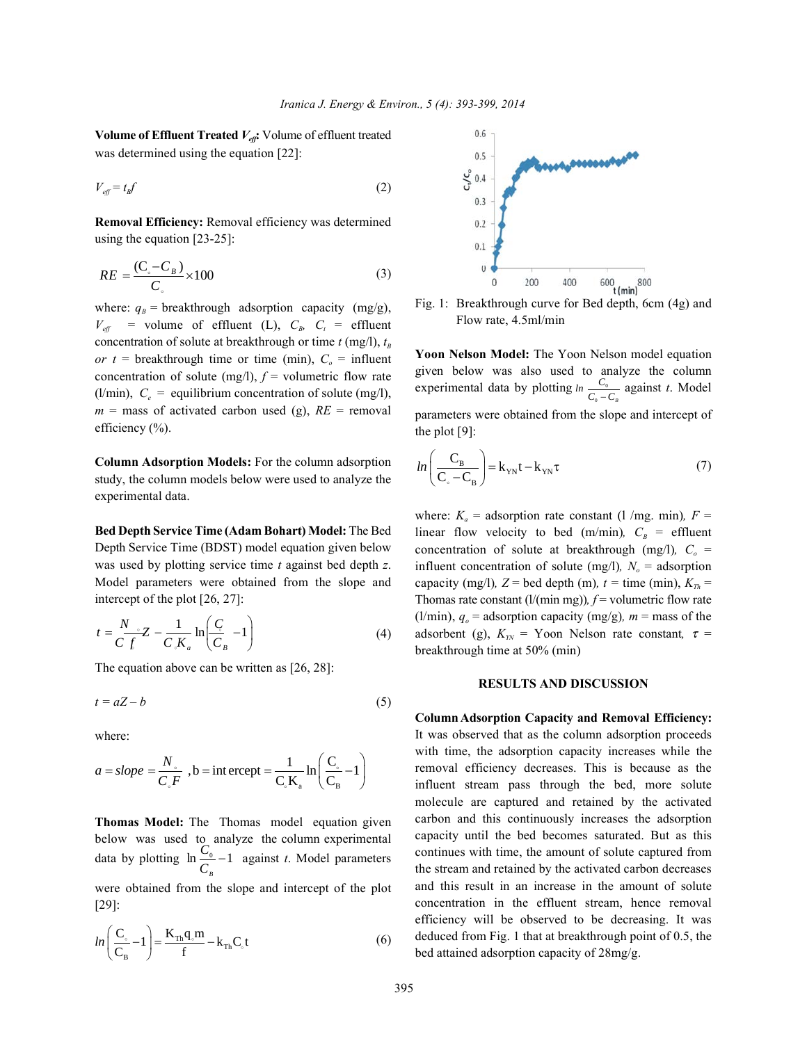**Volume of Effluent Treated**  $V_{\text{eff}}$ **:** Volume of effluent treated was determined using the equation [22]:

$$
V_{\text{eff}} = t_{\text{B}} f \tag{2}
$$

**Removal Efficiency:** Removal efficiency was determined **EXECUTE:** REFINITELY: REFINITELY: REFINITELY:  $\overline{1}$ 

$$
RE = \frac{(C_{\circ} - C_{B})}{C_{\circ}} \times 100
$$
 (3)

where:  $q_B$  = breakthrough adsorption capacity (mg/g),  $V_{\text{eff}}$  = volume of effluent (L),  $C_{\text{B}}$ ,  $C_{\text{t}}$  = effluent concentration of solute at breakthrough or time  $t$  (mg/l),  $t_B$ *or t* = breakthrough time or time (min),  $C<sub>o</sub>$  = influent concentration of solute (mg/l),  $f =$  volumetric flow rate (l/min),  $C_e$  = equilibrium concentration of solute (mg/l),  $m =$  mass of activated carbon used (g),  $RE =$  removal efficiency (%).

**Column Adsorption Models:** For the column adsorption study, the column models below were used to analyze the experimental data.

**Bed Depth Service Time (Adam Bohart) Model:** The Bed Depth Service Time (BDST) model equation given below was used by plotting service time *t* against bed depth *z*. Model parameters were obtained from the slope and intercept of the plot [26, 27]:

$$
t = \frac{N}{C} \frac{1}{f} Z - \frac{1}{C} \frac{1}{K_a} \ln \left( \frac{C}{C_B} - 1 \right)
$$
 (4)

The equation above can be written as [26, 28]:

$$
t = aZ - b \tag{5}
$$

where:

$$
a = slope = \frac{N_{\circ}}{C_{\circ}F} , b = \text{int } \text{ercept} = \frac{1}{C_{\circ}K_{\rm a}} \ln\left(\frac{C_{\circ}}{C_{\rm B}} - 1\right)
$$

**Thomas Model:** The Thomas model equation given below was used to analyze the column experimental data by plotting  $\ln \frac{C_0}{C_B} - 1$  against *t*. Model parameters  $C_{0}$ 

were obtained from the slope and intercept of the plot [29]:

$$
ln\left(\frac{C_{\circ}}{C_{\rm B}}-1\right) = \frac{K_{\rm Th}q_{\circ}m}{f} - k_{\rm Th}C_{\circ}t\tag{6}
$$



Fig. 1: Breakthrough curve for Bed depth, 6cm (4g) and Flow rate, 4.5ml/min

**Yoon Nelson Model:** The Yoon Nelson model equation given below was also used to analyze the column experimental data by plotting  $\ln \frac{C_0}{C_0 - C_B}$  against *t*. Model parameters were obtained from the slope and intercept of the plot [9]:  $C_{\scriptscriptstyle{0}}$  $\frac{C_0}{C_0-C_0}$ 

$$
ln\left(\frac{C_{B}}{C_{\circ} - C_{B}}\right) = k_{\gamma N}t - k_{\gamma N}\tau
$$
\n(7)

(4) adsorbent (g),  $K_{\text{rw}} =$  Yoon Nelson rate constant,  $\tau =$ where:  $K_a$  = adsorption rate constant (1 /mg. min),  $F =$ linear flow velocity to bed (m/min),  $C_B$  = effluent concentration of solute at breakthrough (mg/l),  $C<sub>o</sub>$  = influent concentration of solute (mg/l),  $N_a$  = adsorption capacity (mg/l),  $Z =$  bed depth (m),  $t =$  time (min),  $K_{T_h} =$ Thomas rate constant  $(l/(min mg))$ ,  $f =$  volumetric flow rate (l/min),  $q_o$  = adsorption capacity (mg/g),  $m$  = mass of the breakthrough time at 50% (min)

### **RESULTS AND DISCUSSION**

**Column Adsorption Capacity and Removal Efficiency:** It was observed that as the column adsorption proceeds with time, the adsorption capacity increases while the removal efficiency decreases. This is because as the influent stream pass through the bed, more solute molecule are captured and retained by the activated carbon and this continuously increases the adsorption capacity until the bed becomes saturated. But as this continues with time, the amount of solute captured from the stream and retained by the activated carbon decreases and this result in an increase in the amount of solute concentration in the effluent stream, hence removal efficiency will be observed to be decreasing. It was deduced from Fig. 1 that at breakthrough point of 0.5, the bed attained adsorption capacity of 28mg/g.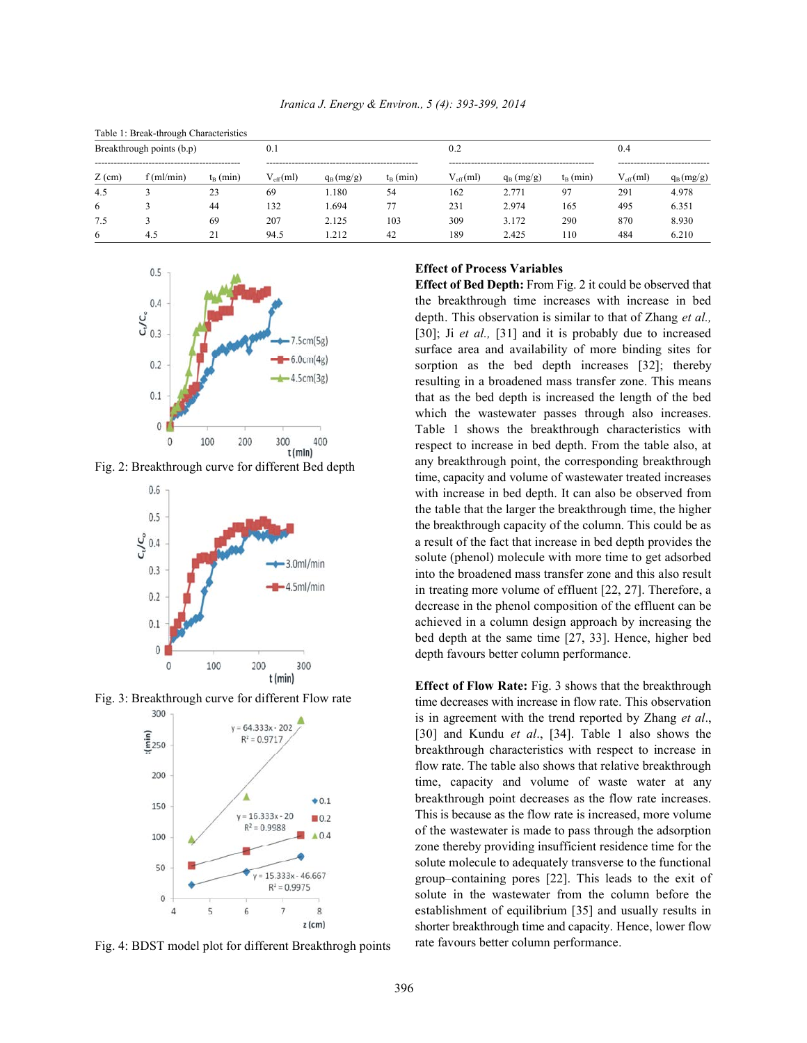| Table 1: Break-through Characteristics |              |                   |                      |             |                   |                      |              |                   |                          |             |  |
|----------------------------------------|--------------|-------------------|----------------------|-------------|-------------------|----------------------|--------------|-------------------|--------------------------|-------------|--|
| Breakthrough points (b.p)              |              |                   | 0.1                  |             |                   | 0.2                  |              |                   | 0.4                      |             |  |
| $Z$ (cm)                               | $f$ (ml/min) | $t_{\rm B}$ (min) | $V_{\text{eff}}(ml)$ | $q_B(mg/g)$ | $t_{\rm B}$ (min) | $V_{\text{eff}}(ml)$ | $q_B$ (mg/g) | $t_{\rm B}$ (min) | <br>$V_{\text{eff}}(ml)$ | $q_B(mg/g)$ |  |
| 4.5                                    |              | 23                | 69                   | .180        | 54                | 162                  | 2.771        | 97                | 291                      | 4.978       |  |
| 6                                      |              | 44                | 132                  | .694        | 77                | 231                  | 2.974        | 165               | 495                      | 6.351       |  |
| 7.5                                    |              | 69                | 207                  | 2.125       | 103               | 309                  | 3.172        | 290               | 870                      | 8.930       |  |
| 6                                      | 4.5          | 21                | 94.5                 | .212        | 42                | 189                  | 2.425        | 110               | 484                      | 6.210       |  |



Fig. 2: Breakthrough curve for different Bed depth



Fig. 3: Breakthrough curve for different Flow rate



Fig. 4: BDST model plot for different Breakthrogh points

## **Effect of Process Variables**

**Effect of Bed Depth:** From Fig. 2 it could be observed that the breakthrough time increases with increase in bed depth. This observation is similar to that of Zhang *et al.,* [30]; Ji *et al.*, [31] and it is probably due to increased surface area and availability of more binding sites for sorption as the bed depth increases [32]; thereby resulting in a broadened mass transfer zone. This means that as the bed depth is increased the length of the bed which the wastewater passes through also increases. Table 1 shows the breakthrough characteristics with respect to increase in bed depth. From the table also, at any breakthrough point, the corresponding breakthrough time, capacity and volume of wastewater treated increases with increase in bed depth. It can also be observed from the table that the larger the breakthrough time, the higher the breakthrough capacity of the column. This could be as a result of the fact that increase in bed depth provides the solute (phenol) molecule with more time to get adsorbed into the broadened mass transfer zone and this also result in treating more volume of effluent [22, 27]. Therefore, a decrease in the phenol composition of the effluent can be achieved in a column design approach by increasing the bed depth at the same time [27, 33]. Hence, higher bed depth favours better column performance.

**Effect of Flow Rate:** Fig. 3 shows that the breakthrough time decreases with increase in flow rate. This observation is in agreement with the trend reported by Zhang *et al*., [30] and Kundu *et al*., [34]. Table 1 also shows the breakthrough characteristics with respect to increase in flow rate. The table also shows that relative breakthrough time, capacity and volume of waste water at any breakthrough point decreases as the flow rate increases. This is because as the flow rate is increased, more volume of the wastewater is made to pass through the adsorption zone thereby providing insufficient residence time for the solute molecule to adequately transverse to the functional group–containing pores [22]. This leads to the exit of solute in the wastewater from the column before the establishment of equilibrium [35] and usually results in shorter breakthrough time and capacity. Hence, lower flow rate favours better column performance.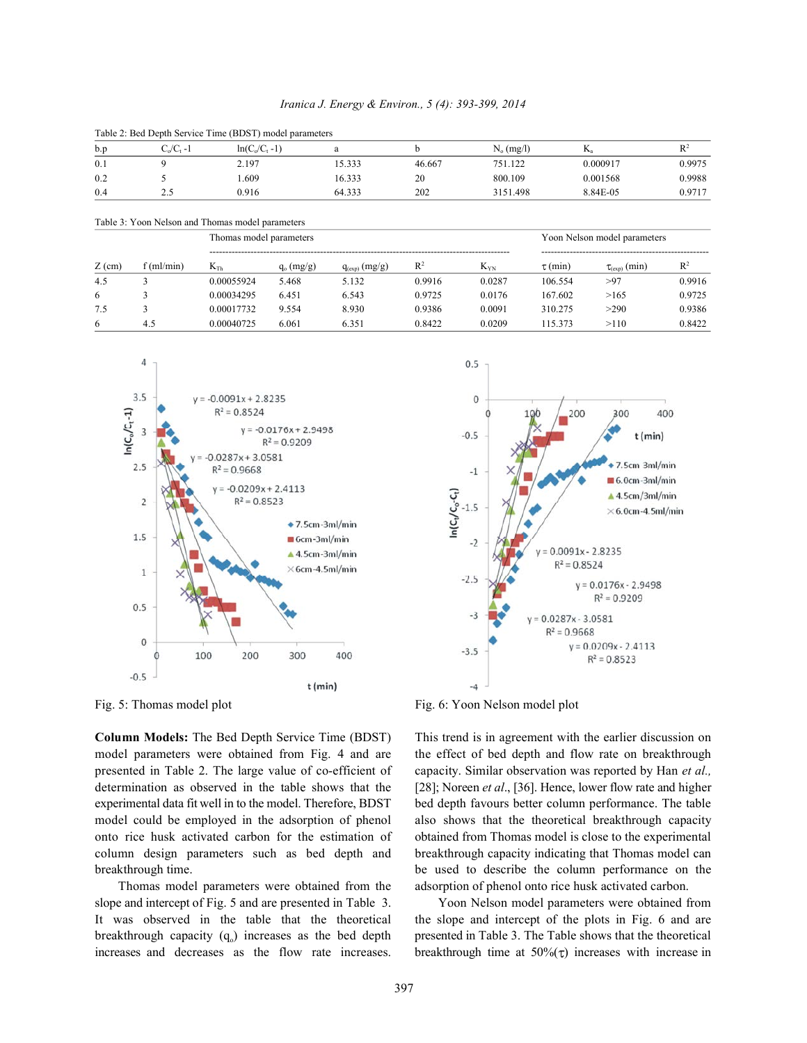| Iranica J. Energy & Environ., 5 (4): 393-399, 2014 |  |  |  |
|----------------------------------------------------|--|--|--|
|----------------------------------------------------|--|--|--|

| Tuote 2: Deu Depin Service Thine (DDST) incuent puruntenent |          |                   |        |        |              |          |        |  |  |
|-------------------------------------------------------------|----------|-------------------|--------|--------|--------------|----------|--------|--|--|
| b.p                                                         | C./C. -1 | $ln(C_0/C_1 - 1)$ |        |        | $N_0$ (mg/l) | n.       |        |  |  |
| 0.1                                                         |          | 2.197             | 5.333  | 46.667 | 751.122      | 0.000917 | 0.9975 |  |  |
| 0.2                                                         |          | . 609             | 16.333 | 20     | 800.109      | 0.001568 | 0.9988 |  |  |
| 0.4                                                         | ن ک      | 0.916             | 64.333 | 202    | 3151.498     | 8.84E-05 | 0.9717 |  |  |

Table 2: Bed Depth Service Time (BDST) model parameters

Table 3: Yoon Nelson and Thomas model parameters

|          | $\rm\Im(ml/min)$ | Thomas model parameters |              |                    |                |          | Yoon Nelson model parameters |                      |        |
|----------|------------------|-------------------------|--------------|--------------------|----------------|----------|------------------------------|----------------------|--------|
| $Z$ (cm) |                  | $K_{Th}$                | $q_0$ (mg/g) | $q_{(exp)} (mg/g)$ | $\mathbb{R}^2$ | $K_{YN}$ | $\tau$ (min)                 | $\tau_{(exp)}$ (min) | $R^2$  |
| 4.5      |                  | 0.00055924              | 5.468        | 5.132              | 0.9916         | 0.0287   | 106.554                      | >97                  | 0.9916 |
| 6        |                  | 0.00034295              | 6.451        | 6.543              | 0.9725         | 0.0176   | 167.602                      | >165                 | 0.9725 |
| 7.5      |                  | 0.00017732              | 9.554        | 8.930              | 0.9386         | 0.0091   | 310.275                      | >290                 | 0.9386 |
| 6        | 4.5              | 0.00040725              | 6.061        | 6.351              | 0.8422         | 0.0209   | 15.373                       | >110                 | 0.8422 |





Fig. 5: Thomas model plot Fig. 6: Yoon Nelson model plot

**Column Models:** The Bed Depth Service Time (BDST) This trend is in agreement with the earlier discussion on model parameters were obtained from Fig. 4 and are the effect of bed depth and flow rate on breakthrough presented in Table 2. The large value of co-efficient of capacity. Similar observation was reported by Han *et al.,* determination as observed in the table shows that the [28]; Noreen *et al*., [36]. Hence, lower flow rate and higher experimental data fit well in to the model. Therefore, BDST bed depth favours better column performance. The table model could be employed in the adsorption of phenol also shows that the theoretical breakthrough capacity onto rice husk activated carbon for the estimation of obtained from Thomas model is close to the experimental column design parameters such as bed depth and breakthrough capacity indicating that Thomas model can

breakthrough capacity  $(q_0)$  increases as the bed depth presented in Table 3. The Table shows that the theoretical

breakthrough time. be used to describe the column performance on the Thomas model parameters were obtained from the adsorption of phenol onto rice husk activated carbon.

slope and intercept of Fig. 5 and are presented in Table 3. Yoon Nelson model parameters were obtained from It was observed in the table that the theoretical the slope and intercept of the plots in Fig. 6 and are increases and decreases as the flow rate increases. breakthrough time at  $50\%$  ( $\tau$ ) increases with increase in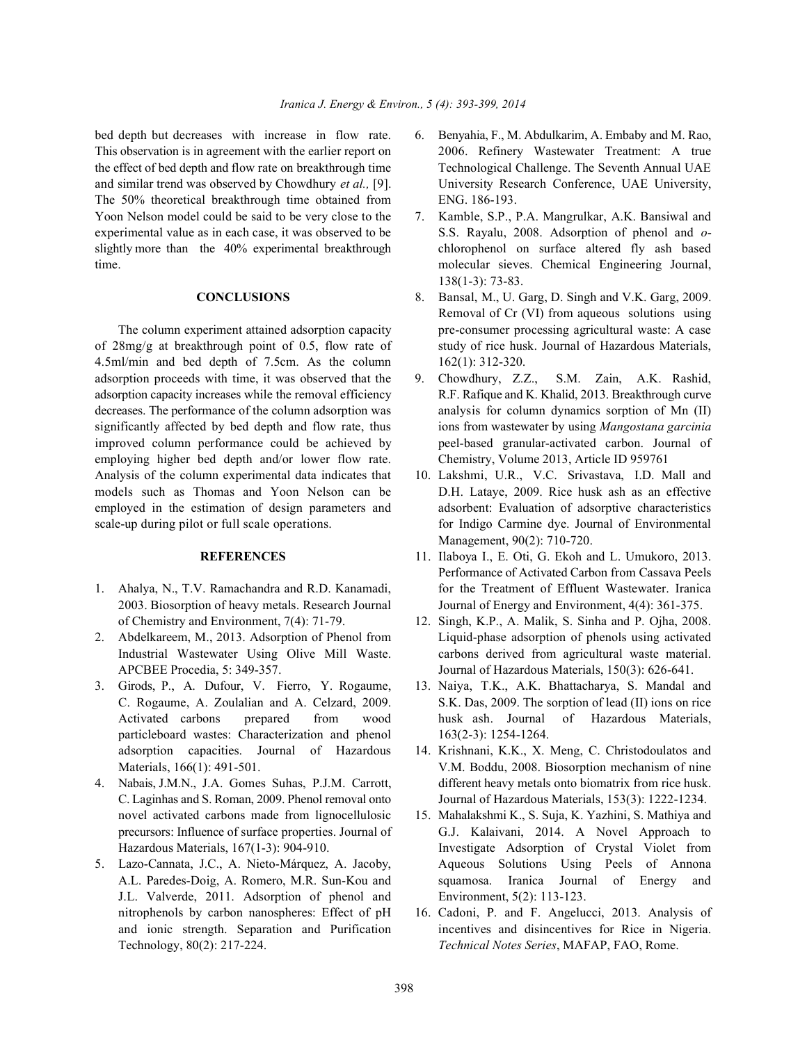bed depth but decreases with increase in flow rate. 6. Benyahia, F., M. Abdulkarim, A. Embaby and M. Rao, This observation is in agreement with the earlier report on 2006. Refinery Wastewater Treatment: A true the effect of bed depth and flow rate on breakthrough time Technological Challenge. The Seventh Annual UAE and similar trend was observed by Chowdhury *et al.,* [9]. University Research Conference, UAE University, The 50% theoretical breakthrough time obtained from ENG. 186-193. Yoon Nelson model could be said to be very close to the 7. Kamble, S.P., P.A. Mangrulkar, A.K. Bansiwal and

4.5ml/min and bed depth of 7.5cm. As the column 162(1): 312-320. adsorption proceeds with time, it was observed that the 9. Chowdhury, Z.Z., S.M. Zain, A.K. Rashid, adsorption capacity increases while the removal efficiency R.F. Rafique and K. Khalid, 2013. Breakthrough curve decreases. The performance of the column adsorption was analysis for column dynamics sorption of Mn (II) significantly affected by bed depth and flow rate, thus ions from wastewater by using *Mangostana garcinia* improved column performance could be achieved by peel-based granular-activated carbon. Journal of employing higher bed depth and/or lower flow rate. Chemistry, Volume 2013, Article ID 959761 Analysis of the column experimental data indicates that 10. Lakshmi, U.R., V.C. Srivastava, I.D. Mall and models such as Thomas and Yoon Nelson can be D.H. Lataye, 2009. Rice husk ash as an effective employed in the estimation of design parameters and adsorbent: Evaluation of adsorptive characteristics scale-up during pilot or full scale operations. for Indigo Carmine dye. Journal of Environmental

- 
- 
- particleboard wastes: Characterization and phenol 163(2-3): 1254-1264. adsorption capacities. Journal of Hazardous 14. Krishnani, K.K., X. Meng, C. Christodoulatos and
- 
- J.L. Valverde, 2011. Adsorption of phenol and Environment, 5(2): 113-123. nitrophenols by carbon nanospheres: Effect of pH 16. Cadoni, P. and F. Angelucci, 2013. Analysis of Technology, 80(2): 217-224. *Technical Notes Series*, MAFAP, FAO, Rome.
- 
- experimental value as in each case, it was observed to be S.S. Rayalu, 2008. Adsorption of phenol and *o*slightly more than the 40% experimental breakthrough chlorophenol on surface altered fly ash based time. molecular sieves. Chemical Engineering Journal, 138(1-3): 73-83.
- **CONCLUSIONS** 8. Bansal, M., U. Garg, D. Singh and V.K. Garg, 2009. The column experiment attained adsorption capacity pre-consumer processing agricultural waste: A case of 28mg/g at breakthrough point of 0.5, flow rate of study of rice husk. Journal of Hazardous Materials, Removal of Cr (VI) from aqueous solutions using
	-
	- Management, 90(2): 710-720.
- **REFERENCES** 11. Ilaboya I., E. Oti, G. Ekoh and L. Umukoro, 2013. 1. Ahalya, N., T.V. Ramachandra and R.D. Kanamadi, for the Treatment of Effluent Wastewater. Iranica 2003. Biosorption of heavy metals. Research Journal Journal of Energy and Environment, 4(4): 361-375. Performance of Activated Carbon from Cassava Peels
- of Chemistry and Environment, 7(4): 71-79. 12. Singh, K.P., A. Malik, S. Sinha and P. Ojha, 2008. 2. Abdelkareem, M., 2013. Adsorption of Phenol from Liquid-phase adsorption of phenols using activated Industrial Wastewater Using Olive Mill Waste. carbons derived from agricultural waste material. APCBEE Procedia, 5: 349-357. Journal of Hazardous Materials, 150(3): 626-641.
- 3. Girods, P., A. Dufour, V. Fierro, Y. Rogaume, 13. Naiya, T.K., A.K. Bhattacharya, S. Mandal and C. Rogaume, A. Zoulalian and A. Celzard, 2009. S.K. Das, 2009. The sorption of lead (II) ions on rice Activated carbons prepared from wood husk ash. Journal of Hazardous Materials,
- Materials, 166(1): 491-501. V.M. Boddu, 2008. Biosorption mechanism of nine 4. Nabais, J.M.N., J.A. Gomes Suhas, P.J.M. Carrott, different heavy metals onto biomatrix from rice husk. C. Laginhas and S. Roman, 2009. Phenol removal onto Journal of Hazardous Materials, 153(3): 1222-1234.
- novel activated carbons made from lignocellulosic 15. Mahalakshmi K., S. Suja, K. Yazhini, S. Mathiya and precursors: Influence of surface properties. Journal of G.J. Kalaivani, 2014. A Novel Approach to Hazardous Materials, 167(1-3): 904-910. Investigate Adsorption of Crystal Violet from 5. Lazo-Cannata, J.C., A. Nieto-Márquez, A. Jacoby, Aqueous Solutions Using Peels of Annona A.L. Paredes-Doig, A. Romero, M.R. Sun-Kou and squamosa. Iranica Journal of Energy and
	- and ionic strength. Separation and Purification incentives and disincentives for Rice in Nigeria.